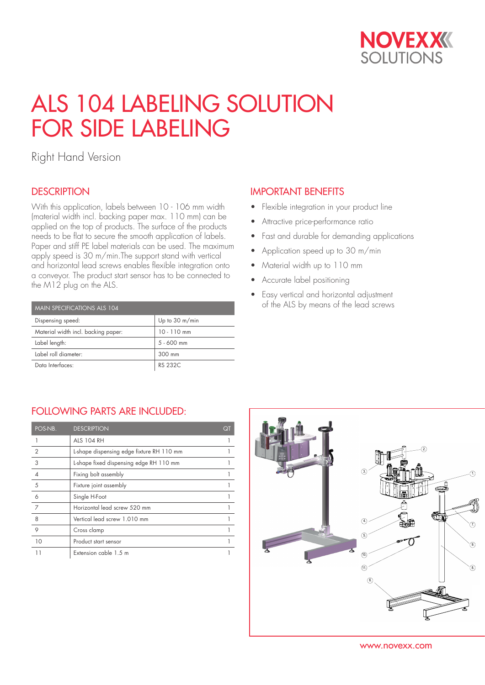

# ALS 104 LABELING SOLUTION FOR SIDE LABELING

Right Hand Version

## **DESCRIPTION**

With this application, labels between 10 - 106 mm width (material width incl. backing paper max. 110 mm) can be applied on the top of products. The surface of the products needs to be flat to secure the smooth application of labels. Paper and stiff PE label materials can be used. The maximum apply speed is 30 m/min.The support stand with vertical and horizontal lead screws enables flexible integration onto a conveyor. The product start sensor has to be connected to the M12 plug on the ALS.

| MAIN SPECIFICATIONS ALS 104         |                          |  |  |  |
|-------------------------------------|--------------------------|--|--|--|
| Dispensing speed:                   | Up to $30 \text{ m/min}$ |  |  |  |
| Material width incl. backing paper: | $10 - 110$ mm            |  |  |  |
| Label length:                       | $5 - 600$ mm             |  |  |  |
| Label roll diameter:                | 300 mm                   |  |  |  |
| Data Interfaces:                    | RS 232C                  |  |  |  |

### IMPORTANT BENEFITS

- Flexible integration in your product line
- Attractive price-performance ratio
- Fast and durable for demanding applications
- Application speed up to 30 m/min
- Material width up to 110 mm
- Accurate label positioning
- Easy vertical and horizontal adjustment of the ALS by means of the lead screws

### FOLLOWING PARTS ARE INCLUDED:

| POS-NB.        | <b>DESCRIPTION</b>                        | QT |
|----------------|-------------------------------------------|----|
|                | <b>ALS 104 RH</b>                         |    |
| $\overline{2}$ | L-shape dispensing edge fixture RH 110 mm |    |
| 3              | L-shape fixed dispensing edge RH 110 mm   |    |
| $\overline{4}$ | Fixing bolt assembly                      |    |
| 5              | Fixture joint assembly                    |    |
| 6              | Single H-Foot                             |    |
| 7              | Horizontal lead screw 520 mm              |    |
| 8              | Vertical lead screw 1.010 mm              |    |
| 9              | Cross clamp                               |    |
| 10             | Product start sensor                      |    |
|                | Extension cable 1.5 m                     |    |